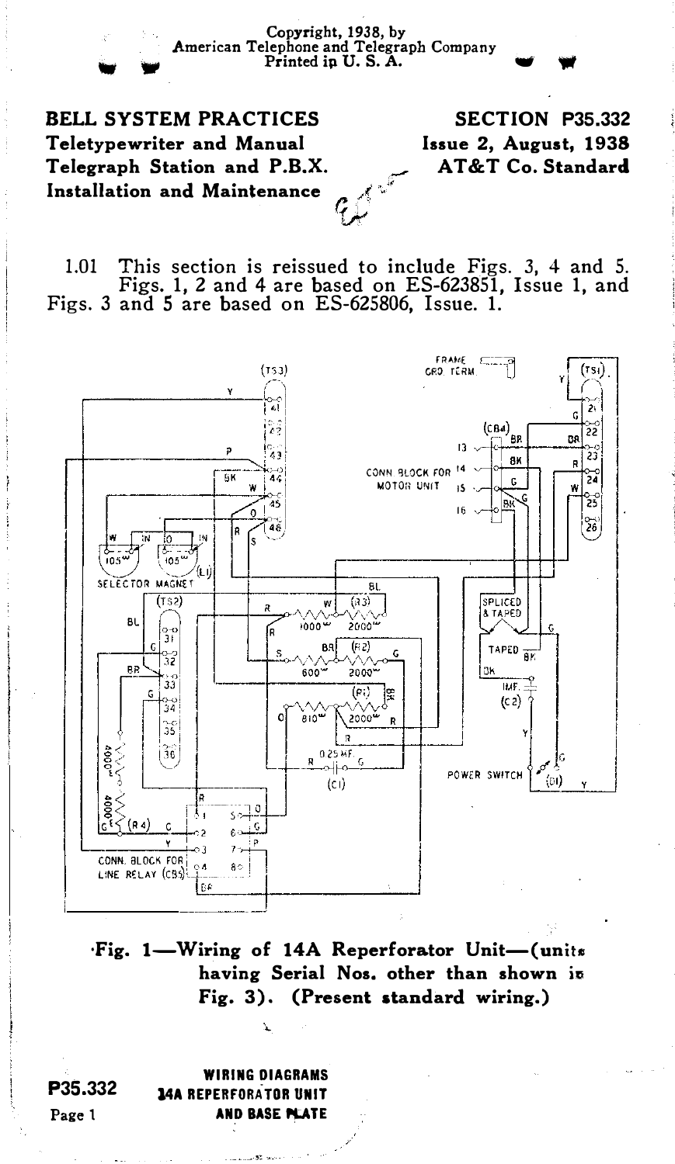Copyright, 1938, by<br>
American Telephone and Telegraph Company<br>
Printed ip U.S.A.

BELL SYSTEM PRACTICES Teletypewriter and Manual Telegraph Station and P.B.X. Installation and Maintenance

## SECTION P35.332 Issue 2, August, 1938 AT&T Co. Standard

1.01 This section is reissued to include Figs. 3, 4 and 5. Figs. 1, 2 and 4 are based on ES-623851, Issue 1, and Figs. 3 and 5 are based on ES-625806, Issue. 1.

W.



·Fig. 1-Wiring of 14A Reperforator Unit-(unite having Serial Nos. other than shown in Fig. 3). (Present standard wiring.)

WIRING DIAGRAMS l4A REPERFORATOR UNIT AND BASE PLATE

P35.332 Page <sup>1</sup>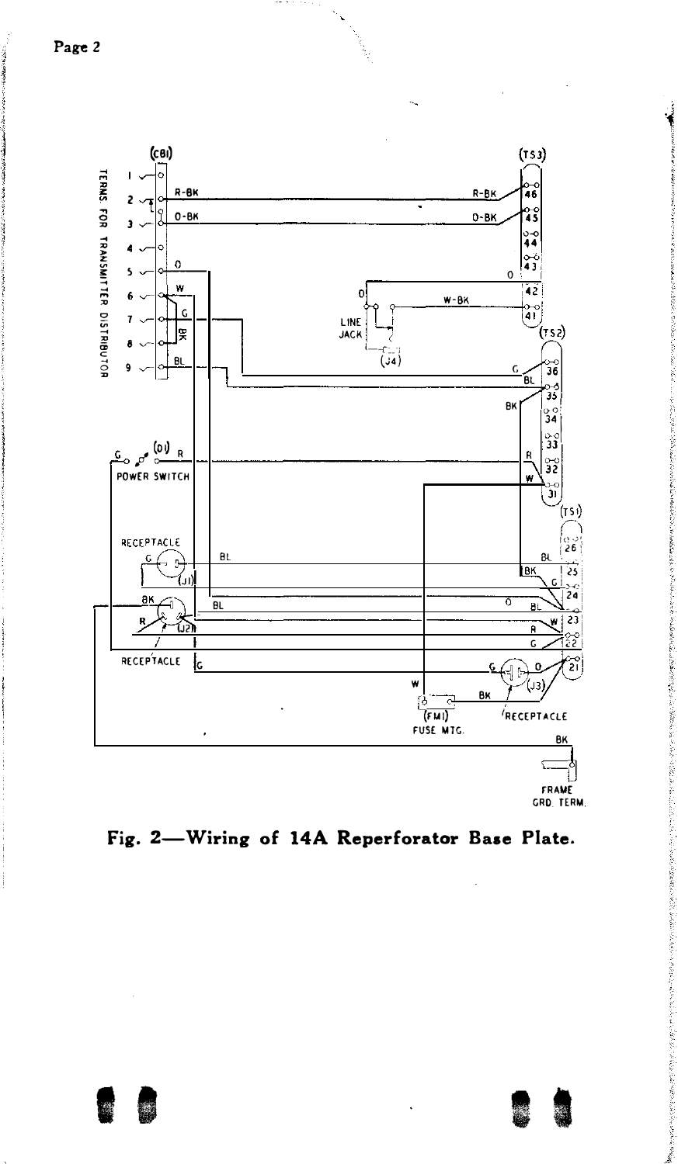

FRAME GRD, TERM.

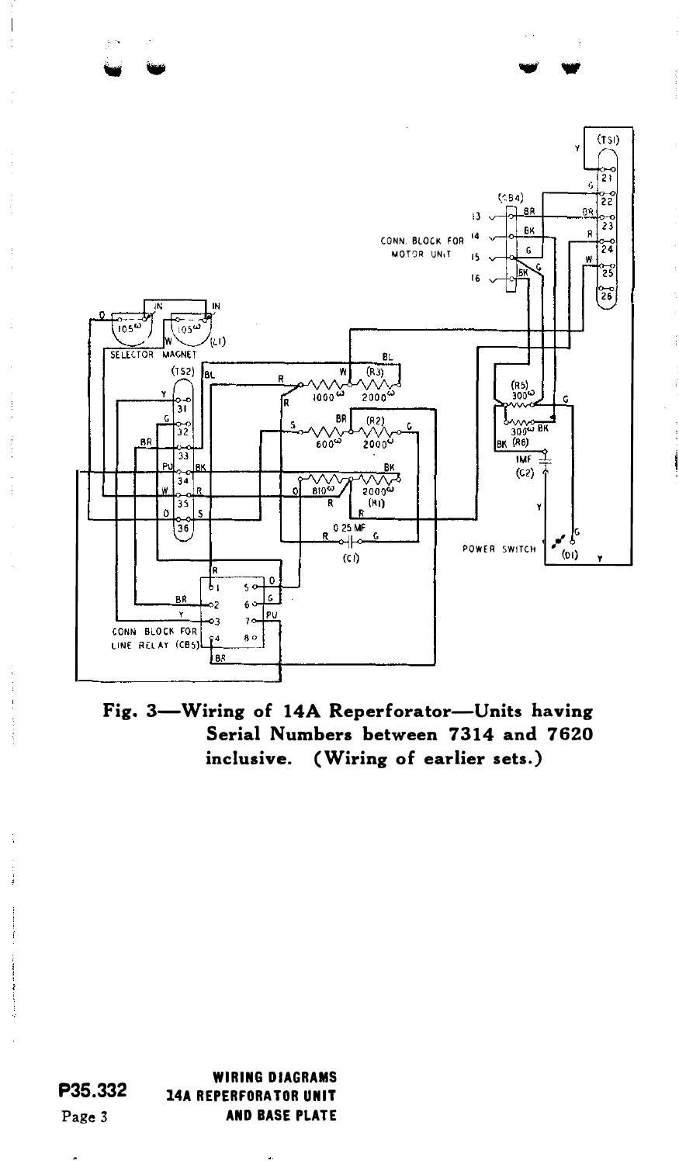

Fig. 3-Wiring of 14A Reperforator-Units having Serial Numbers between 7314 and 7620 inclusive. (Wiring of earlier sets.)

P35.332 Page 3 WIRING DIAGRAMS 14A REPERFORA TOR UNIT AND BASE PLATE

 $\bullet$